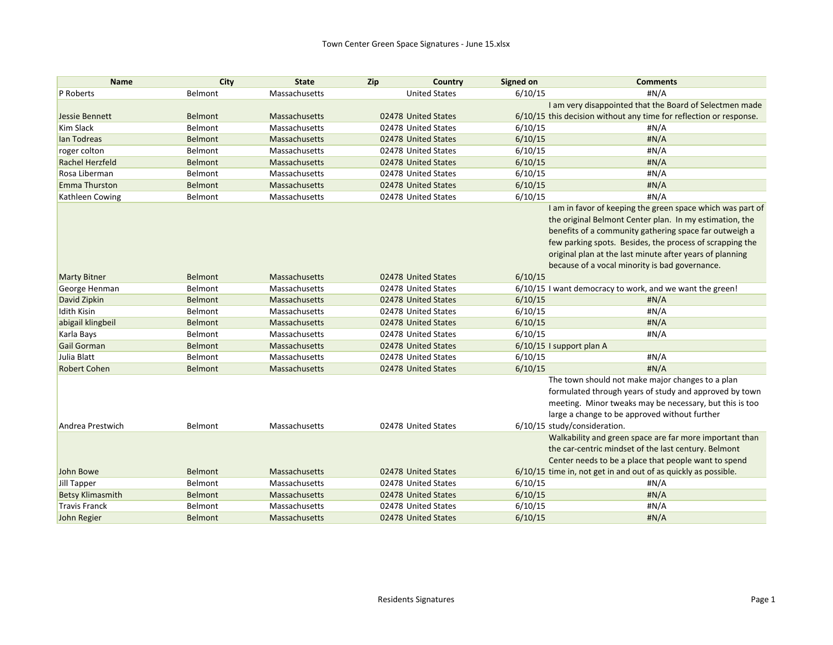| <b>Name</b>             | City           | <b>State</b>         | Zip | Country              | <b>Signed on</b> | <b>Comments</b>                                                    |
|-------------------------|----------------|----------------------|-----|----------------------|------------------|--------------------------------------------------------------------|
| P Roberts               | Belmont        | Massachusetts        |     | <b>United States</b> | 6/10/15          | #N/A                                                               |
|                         |                |                      |     |                      |                  | I am very disappointed that the Board of Selectmen made            |
| Jessie Bennett          | Belmont        | Massachusetts        |     | 02478 United States  |                  | 6/10/15 this decision without any time for reflection or response. |
| <b>Kim Slack</b>        | Belmont        | Massachusetts        |     | 02478 United States  | 6/10/15          | H N/A                                                              |
| lan Todreas             | <b>Belmont</b> | Massachusetts        |     | 02478 United States  | 6/10/15          | H N/A                                                              |
| roger colton            | Belmont        | Massachusetts        |     | 02478 United States  | 6/10/15          | #N/A                                                               |
| <b>Rachel Herzfeld</b>  | Belmont        | Massachusetts        |     | 02478 United States  | 6/10/15          | H N/A                                                              |
| Rosa Liberman           | Belmont        | Massachusetts        |     | 02478 United States  | 6/10/15          | #N/A                                                               |
| <b>Emma Thurston</b>    | Belmont        | Massachusetts        |     | 02478 United States  | 6/10/15          | #N/A                                                               |
| Kathleen Cowing         | Belmont        | Massachusetts        |     | 02478 United States  | 6/10/15          | #N/A                                                               |
|                         |                |                      |     |                      |                  | I am in favor of keeping the green space which was part of         |
|                         |                |                      |     |                      |                  | the original Belmont Center plan. In my estimation, the            |
|                         |                |                      |     |                      |                  | benefits of a community gathering space far outweigh a             |
|                         |                |                      |     |                      |                  | few parking spots. Besides, the process of scrapping the           |
|                         |                |                      |     |                      |                  | original plan at the last minute after years of planning           |
|                         |                |                      |     |                      |                  | because of a vocal minority is bad governance.                     |
| <b>Marty Bitner</b>     | Belmont        | <b>Massachusetts</b> |     | 02478 United States  | 6/10/15          |                                                                    |
| George Henman           | Belmont        | Massachusetts        |     | 02478 United States  |                  | 6/10/15 I want democracy to work, and we want the green!           |
| David Zipkin            | Belmont        | Massachusetts        |     | 02478 United States  | 6/10/15          | H N/A                                                              |
| <b>Idith Kisin</b>      | Belmont        | Massachusetts        |     | 02478 United States  | 6/10/15          | #N/A                                                               |
| abigail klingbeil       | <b>Belmont</b> | Massachusetts        |     | 02478 United States  | 6/10/15          | H N/A                                                              |
| Karla Bays              | Belmont        | Massachusetts        |     | 02478 United States  | 6/10/15          | #N/A                                                               |
| <b>Gail Gorman</b>      | <b>Belmont</b> | Massachusetts        |     | 02478 United States  |                  | 6/10/15 I support plan A                                           |
| Julia Blatt             | Belmont        | Massachusetts        |     | 02478 United States  | 6/10/15          | #N/A                                                               |
| <b>Robert Cohen</b>     | Belmont        | Massachusetts        |     | 02478 United States  | 6/10/15          | #N/A                                                               |
|                         |                |                      |     |                      |                  | The town should not make major changes to a plan                   |
|                         |                |                      |     |                      |                  | formulated through years of study and approved by town             |
|                         |                |                      |     |                      |                  | meeting. Minor tweaks may be necessary, but this is too            |
|                         |                |                      |     |                      |                  | large a change to be approved without further                      |
| Andrea Prestwich        | Belmont        | Massachusetts        |     | 02478 United States  |                  | 6/10/15 study/consideration.                                       |
|                         |                |                      |     |                      |                  | Walkability and green space are far more important than            |
|                         |                |                      |     |                      |                  | the car-centric mindset of the last century. Belmont               |
|                         |                |                      |     |                      |                  | Center needs to be a place that people want to spend               |
| John Bowe               | Belmont        | <b>Massachusetts</b> |     | 02478 United States  |                  | 6/10/15 time in, not get in and out of as quickly as possible.     |
| Jill Tapper             | Belmont        | Massachusetts        |     | 02478 United States  | 6/10/15          | #N/A                                                               |
| <b>Betsy Klimasmith</b> | <b>Belmont</b> | <b>Massachusetts</b> |     | 02478 United States  | 6/10/15          | H N/A                                                              |
| <b>Travis Franck</b>    | Belmont        | Massachusetts        |     | 02478 United States  | 6/10/15          | #N/A                                                               |
| John Regier             | Belmont        | Massachusetts        |     | 02478 United States  | 6/10/15          | #N/A                                                               |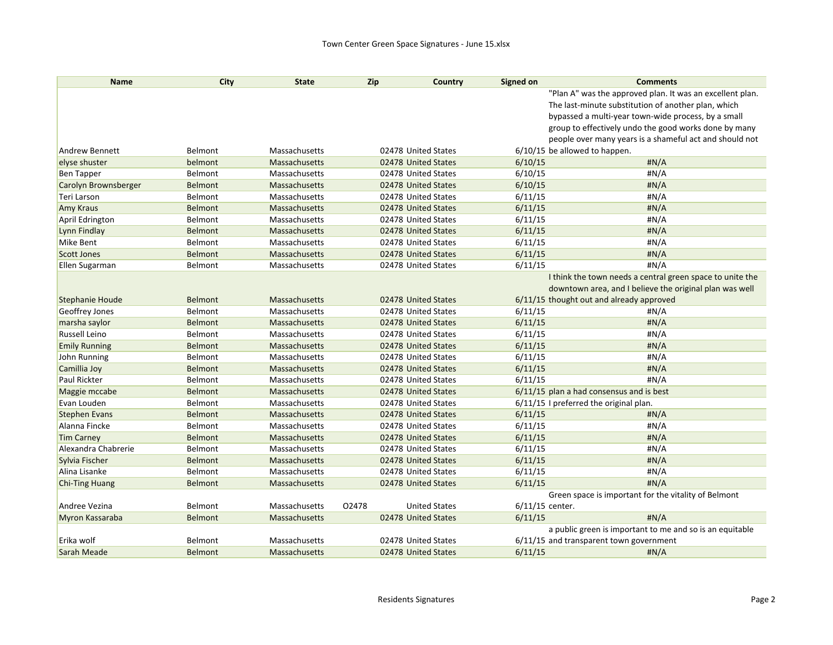| <b>Name</b>            | City           | <b>State</b>  | <b>Zip</b> | Country              | Signed on | <b>Comments</b>                                           |
|------------------------|----------------|---------------|------------|----------------------|-----------|-----------------------------------------------------------|
|                        |                |               |            |                      |           | "Plan A" was the approved plan. It was an excellent plan. |
|                        |                |               |            |                      |           | The last-minute substitution of another plan, which       |
|                        |                |               |            |                      |           | bypassed a multi-year town-wide process, by a small       |
|                        |                |               |            |                      |           | group to effectively undo the good works done by many     |
|                        |                |               |            |                      |           | people over many years is a shameful act and should not   |
| <b>Andrew Bennett</b>  | Belmont        | Massachusetts |            | 02478 United States  |           | $6/10/15$ be allowed to happen.                           |
| elyse shuster          | belmont        | Massachusetts |            | 02478 United States  | 6/10/15   | H N/A                                                     |
| <b>Ben Tapper</b>      | Belmont        | Massachusetts |            | 02478 United States  | 6/10/15   | #N/A                                                      |
| Carolyn Brownsberger   | <b>Belmont</b> | Massachusetts |            | 02478 United States  | 6/10/15   | H N/A                                                     |
| Teri Larson            | Belmont        | Massachusetts |            | 02478 United States  | 6/11/15   | #N/A                                                      |
| <b>Amy Kraus</b>       | <b>Belmont</b> | Massachusetts |            | 02478 United States  | 6/11/15   | H N/A                                                     |
| April Edrington        | Belmont        | Massachusetts |            | 02478 United States  | 6/11/15   | #N/A                                                      |
| Lynn Findlay           | <b>Belmont</b> | Massachusetts |            | 02478 United States  | 6/11/15   | H N/A                                                     |
| Mike Bent              | Belmont        | Massachusetts |            | 02478 United States  | 6/11/15   | #N/A                                                      |
| <b>Scott Jones</b>     | <b>Belmont</b> | Massachusetts |            | 02478 United States  | 6/11/15   | #N/A                                                      |
| Ellen Sugarman         | Belmont        | Massachusetts |            | 02478 United States  | 6/11/15   | #N/A                                                      |
|                        |                |               |            |                      |           | I think the town needs a central green space to unite the |
|                        |                |               |            |                      |           | downtown area, and I believe the original plan was well   |
| <b>Stephanie Houde</b> | Belmont        | Massachusetts |            | 02478 United States  |           | 6/11/15 thought out and already approved                  |
| Geoffrey Jones         | Belmont        | Massachusetts |            | 02478 United States  | 6/11/15   | #N/A                                                      |
| marsha saylor          | <b>Belmont</b> | Massachusetts |            | 02478 United States  | 6/11/15   | H N/A                                                     |
| Russell Leino          | Belmont        | Massachusetts |            | 02478 United States  | 6/11/15   | #N/A                                                      |
| <b>Emily Running</b>   | <b>Belmont</b> | Massachusetts |            | 02478 United States  | 6/11/15   | H N/A                                                     |
| John Running           | Belmont        | Massachusetts |            | 02478 United States  | 6/11/15   | #N/A                                                      |
| Camillia Joy           | <b>Belmont</b> | Massachusetts |            | 02478 United States  | 6/11/15   | #N/A                                                      |
| Paul Rickter           | Belmont        | Massachusetts |            | 02478 United States  | 6/11/15   | #N/A                                                      |
| Maggie mccabe          | <b>Belmont</b> | Massachusetts |            | 02478 United States  |           | 6/11/15 plan a had consensus and is best                  |
| Evan Louden            | Belmont        | Massachusetts |            | 02478 United States  |           | 6/11/15 I preferred the original plan.                    |
| <b>Stephen Evans</b>   | <b>Belmont</b> | Massachusetts |            | 02478 United States  | 6/11/15   | #N/A                                                      |
| Alanna Fincke          | Belmont        | Massachusetts |            | 02478 United States  | 6/11/15   | #N/A                                                      |
| <b>Tim Carney</b>      | <b>Belmont</b> | Massachusetts |            | 02478 United States  | 6/11/15   | H N/A                                                     |
| Alexandra Chabrerie    | Belmont        | Massachusetts |            | 02478 United States  | 6/11/15   | #N/A                                                      |
| Sylvia Fischer         | <b>Belmont</b> | Massachusetts |            | 02478 United States  | 6/11/15   | H N/A                                                     |
| Alina Lisanke          | Belmont        | Massachusetts |            | 02478 United States  | 6/11/15   | #N/A                                                      |
| <b>Chi-Ting Huang</b>  | <b>Belmont</b> | Massachusetts |            | 02478 United States  | 6/11/15   | H N/A                                                     |
|                        |                |               |            |                      |           | Green space is important for the vitality of Belmont      |
| Andree Vezina          | Belmont        | Massachusetts | 02478      | <b>United States</b> |           | 6/11/15 center.                                           |
| Myron Kassaraba        | Belmont        | Massachusetts |            | 02478 United States  | 6/11/15   | H N/A                                                     |
|                        |                |               |            |                      |           | a public green is important to me and so is an equitable  |
| Erika wolf             | Belmont        | Massachusetts |            | 02478 United States  |           | 6/11/15 and transparent town government                   |
| Sarah Meade            | <b>Belmont</b> | Massachusetts |            | 02478 United States  | 6/11/15   | #N/A                                                      |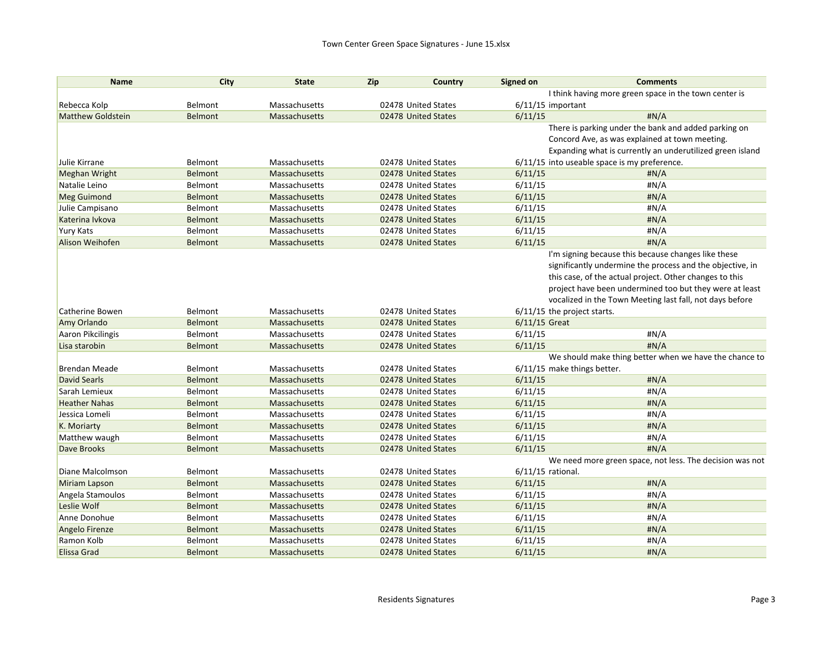| <b>Name</b>              | City           | <b>State</b>         | Zip | Country             | <b>Signed on</b>              | <b>Comments</b>                                           |
|--------------------------|----------------|----------------------|-----|---------------------|-------------------------------|-----------------------------------------------------------|
|                          |                |                      |     |                     |                               | I think having more green space in the town center is     |
| Rebecca Kolp             | Belmont        | Massachusetts        |     | 02478 United States | $6/11/15$ important           |                                                           |
| <b>Matthew Goldstein</b> | <b>Belmont</b> | Massachusetts        |     | 02478 United States | 6/11/15                       | #N/A                                                      |
|                          |                |                      |     |                     |                               | There is parking under the bank and added parking on      |
|                          |                |                      |     |                     |                               | Concord Ave, as was explained at town meeting.            |
|                          |                |                      |     |                     |                               | Expanding what is currently an underutilized green island |
| Julie Kirrane            | Belmont        | Massachusetts        |     | 02478 United States |                               | 6/11/15 into useable space is my preference.              |
| Meghan Wright            | Belmont        | Massachusetts        |     | 02478 United States | 6/11/15                       | H N/A                                                     |
| Natalie Leino            | Belmont        | Massachusetts        |     | 02478 United States | 6/11/15                       | #N/A                                                      |
| <b>Meg Guimond</b>       | <b>Belmont</b> | Massachusetts        |     | 02478 United States | 6/11/15                       | #N/A                                                      |
| Julie Campisano          | Belmont        | Massachusetts        |     | 02478 United States | 6/11/15                       | #N/A                                                      |
| Katerina Ivkova          | <b>Belmont</b> | Massachusetts        |     | 02478 United States | 6/11/15                       | H N/A                                                     |
| Yury Kats                | Belmont        | Massachusetts        |     | 02478 United States | 6/11/15                       | #N/A                                                      |
| Alison Weihofen          | Belmont        | <b>Massachusetts</b> |     | 02478 United States | 6/11/15                       | #N/A                                                      |
|                          |                |                      |     |                     |                               | I'm signing because this because changes like these       |
|                          |                |                      |     |                     |                               | significantly undermine the process and the objective, in |
|                          |                |                      |     |                     |                               | this case, of the actual project. Other changes to this   |
|                          |                |                      |     |                     |                               | project have been undermined too but they were at least   |
|                          |                |                      |     |                     |                               | vocalized in the Town Meeting last fall, not days before  |
| Catherine Bowen          | Belmont        | Massachusetts        |     | 02478 United States | $6/11/15$ the project starts. |                                                           |
| Amy Orlando              | <b>Belmont</b> | <b>Massachusetts</b> |     | 02478 United States | $6/11/15$ Great               |                                                           |
| Aaron Pikcilingis        | Belmont        | Massachusetts        |     | 02478 United States | 6/11/15                       | #N/A                                                      |
| Lisa starobin            | <b>Belmont</b> | <b>Massachusetts</b> |     | 02478 United States | 6/11/15                       | H N/A                                                     |
|                          |                |                      |     |                     |                               | We should make thing better when we have the chance to    |
| <b>Brendan Meade</b>     | Belmont        | Massachusetts        |     | 02478 United States | 6/11/15 make things better.   |                                                           |
| <b>David Searls</b>      | <b>Belmont</b> | Massachusetts        |     | 02478 United States | 6/11/15                       | #N/A                                                      |
| Sarah Lemieux            | Belmont        | Massachusetts        |     | 02478 United States | 6/11/15                       | #N/A                                                      |
| <b>Heather Nahas</b>     | <b>Belmont</b> | Massachusetts        |     | 02478 United States | 6/11/15                       | #N/A                                                      |
| Jessica Lomeli           | Belmont        | Massachusetts        |     | 02478 United States | 6/11/15                       | #N/A                                                      |
| K. Moriarty              | <b>Belmont</b> | Massachusetts        |     | 02478 United States | 6/11/15                       | H N/A                                                     |
| Matthew waugh            | Belmont        | Massachusetts        |     | 02478 United States | 6/11/15                       | #N/A                                                      |
| Dave Brooks              | <b>Belmont</b> | Massachusetts        |     | 02478 United States | 6/11/15                       | #N/A                                                      |
|                          |                |                      |     |                     |                               | We need more green space, not less. The decision was not  |
| Diane Malcolmson         | Belmont        | Massachusetts        |     | 02478 United States | 6/11/15 rational.             |                                                           |
| Miriam Lapson            | Belmont        | <b>Massachusetts</b> |     | 02478 United States | 6/11/15                       | H N/A                                                     |
| Angela Stamoulos         | Belmont        | Massachusetts        |     | 02478 United States | 6/11/15                       | #N/A                                                      |
| Leslie Wolf              | Belmont        | Massachusetts        |     | 02478 United States | 6/11/15                       | #N/A                                                      |
| Anne Donohue             | Belmont        | Massachusetts        |     | 02478 United States | 6/11/15                       | #N/A                                                      |
| Angelo Firenze           | <b>Belmont</b> | Massachusetts        |     | 02478 United States | 6/11/15                       | H N/A                                                     |
| Ramon Kolb               | Belmont        | Massachusetts        |     | 02478 United States | 6/11/15                       | #N/A                                                      |
| <b>Elissa Grad</b>       | <b>Belmont</b> | Massachusetts        |     | 02478 United States | 6/11/15                       | H N/A                                                     |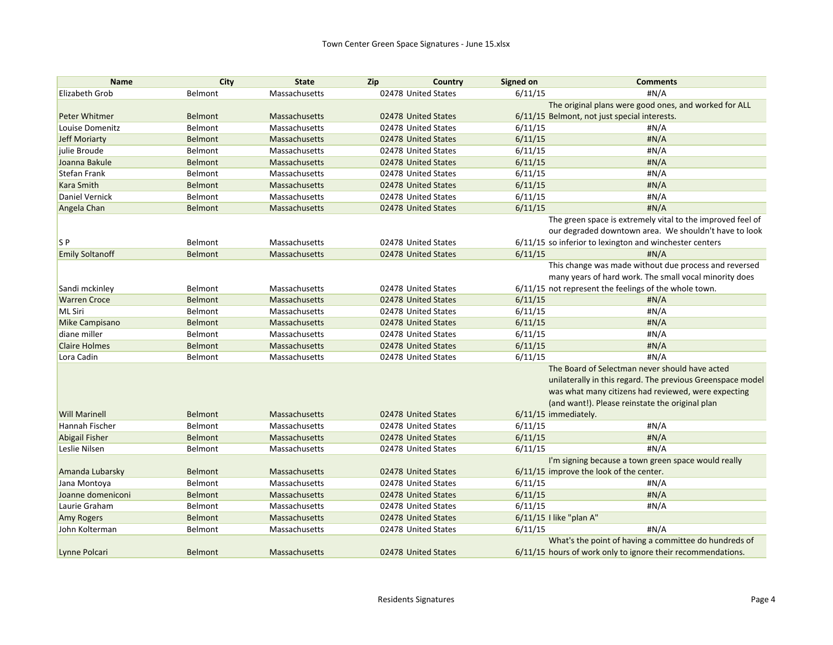| <b>Name</b>            | City           | <b>State</b>         | Zip                 | Country | Signed on               | <b>Comments</b>                                             |
|------------------------|----------------|----------------------|---------------------|---------|-------------------------|-------------------------------------------------------------|
| Elizabeth Grob         | Belmont        | Massachusetts        | 02478 United States |         | 6/11/15                 | #N/A                                                        |
|                        |                |                      |                     |         |                         | The original plans were good ones, and worked for ALL       |
| Peter Whitmer          | Belmont        | <b>Massachusetts</b> | 02478 United States |         |                         | 6/11/15 Belmont, not just special interests.                |
| Louise Domenitz        | Belmont        | Massachusetts        | 02478 United States |         | 6/11/15                 | #N/A                                                        |
| <b>Jeff Moriarty</b>   | Belmont        | <b>Massachusetts</b> | 02478 United States |         | 6/11/15                 | #N/A                                                        |
| julie Broude           | Belmont        | Massachusetts        | 02478 United States |         | 6/11/15                 | #N/A                                                        |
| Joanna Bakule          | <b>Belmont</b> | <b>Massachusetts</b> | 02478 United States |         | 6/11/15                 | #N/A                                                        |
| Stefan Frank           | Belmont        | Massachusetts        | 02478 United States |         | 6/11/15                 | #N/A                                                        |
| <b>Kara Smith</b>      | <b>Belmont</b> | <b>Massachusetts</b> | 02478 United States |         | 6/11/15                 | #N/A                                                        |
| Daniel Vernick         | Belmont        | Massachusetts        | 02478 United States |         | 6/11/15                 | #N/A                                                        |
| Angela Chan            | <b>Belmont</b> | Massachusetts        | 02478 United States |         | 6/11/15                 | #N/A                                                        |
|                        |                |                      |                     |         |                         | The green space is extremely vital to the improved feel of  |
|                        |                |                      |                     |         |                         | our degraded downtown area. We shouldn't have to look       |
| S <sub>P</sub>         | Belmont        | Massachusetts        | 02478 United States |         |                         | 6/11/15 so inferior to lexington and winchester centers     |
| <b>Emily Soltanoff</b> | <b>Belmont</b> | <b>Massachusetts</b> | 02478 United States |         | 6/11/15                 | H N/A                                                       |
|                        |                |                      |                     |         |                         | This change was made without due process and reversed       |
|                        |                |                      |                     |         |                         | many years of hard work. The small vocal minority does      |
| Sandi mckinley         | Belmont        | Massachusetts        | 02478 United States |         |                         | 6/11/15 not represent the feelings of the whole town.       |
| <b>Warren Croce</b>    | Belmont        | Massachusetts        | 02478 United States |         | 6/11/15                 | #N/A                                                        |
| <b>ML Siri</b>         | Belmont        | Massachusetts        | 02478 United States |         | 6/11/15                 | #N/A                                                        |
| Mike Campisano         | <b>Belmont</b> | <b>Massachusetts</b> | 02478 United States |         | 6/11/15                 | #N/A                                                        |
| diane miller           | Belmont        | Massachusetts        | 02478 United States |         | 6/11/15                 | # $N/A$                                                     |
| <b>Claire Holmes</b>   | Belmont        | <b>Massachusetts</b> | 02478 United States |         | 6/11/15                 | #N/A                                                        |
| Lora Cadin             | Belmont        | Massachusetts        | 02478 United States |         | 6/11/15                 | H N/A                                                       |
|                        |                |                      |                     |         |                         | The Board of Selectman never should have acted              |
|                        |                |                      |                     |         |                         | unilaterally in this regard. The previous Greenspace model  |
|                        |                |                      |                     |         |                         | was what many citizens had reviewed, were expecting         |
|                        |                |                      |                     |         |                         | (and want!). Please reinstate the original plan             |
| <b>Will Marinell</b>   | <b>Belmont</b> | Massachusetts        | 02478 United States |         | 6/11/15 immediately.    |                                                             |
| Hannah Fischer         | Belmont        | Massachusetts        | 02478 United States |         | 6/11/15                 | # $N/A$                                                     |
| Abigail Fisher         | <b>Belmont</b> | <b>Massachusetts</b> | 02478 United States |         | 6/11/15                 | H N/A                                                       |
| Leslie Nilsen          | Belmont        | Massachusetts        | 02478 United States |         | 6/11/15                 | #N/A                                                        |
|                        |                |                      |                     |         |                         | I'm signing because a town green space would really         |
| Amanda Lubarsky        | <b>Belmont</b> | <b>Massachusetts</b> | 02478 United States |         |                         | 6/11/15 improve the look of the center.                     |
| Jana Montoya           | Belmont        | Massachusetts        | 02478 United States |         | 6/11/15                 | #N/A                                                        |
| Joanne domeniconi      | <b>Belmont</b> | <b>Massachusetts</b> | 02478 United States |         | 6/11/15                 | H N/A                                                       |
| Laurie Graham          | Belmont        | Massachusetts        | 02478 United States |         | 6/11/15                 | #N/A                                                        |
| <b>Amy Rogers</b>      | <b>Belmont</b> | <b>Massachusetts</b> | 02478 United States |         | 6/11/15 I like "plan A" |                                                             |
| John Kolterman         | Belmont        | Massachusetts        | 02478 United States |         | 6/11/15                 | #N/A                                                        |
|                        |                |                      |                     |         |                         | What's the point of having a committee do hundreds of       |
| Lynne Polcari          | Belmont        | <b>Massachusetts</b> | 02478 United States |         |                         | 6/11/15 hours of work only to ignore their recommendations. |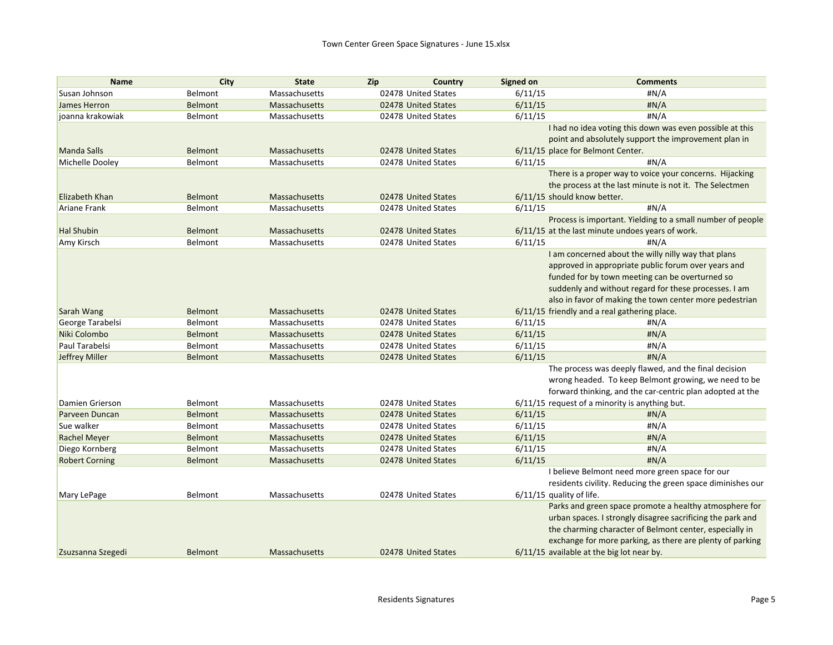| <b>Name</b>            | City           | <b>State</b>         | Zip<br>Country      | Signed on                  | <b>Comments</b>                                             |
|------------------------|----------------|----------------------|---------------------|----------------------------|-------------------------------------------------------------|
| Susan Johnson          | Belmont        | Massachusetts        | 02478 United States | 6/11/15                    | #N/A                                                        |
| James Herron           | <b>Belmont</b> | Massachusetts        | 02478 United States | 6/11/15                    | #N/A                                                        |
| joanna krakowiak       | Belmont        | Massachusetts        | 02478 United States | 6/11/15                    | #N/A                                                        |
|                        |                |                      |                     |                            | I had no idea voting this down was even possible at this    |
|                        |                |                      |                     |                            | point and absolutely support the improvement plan in        |
| <b>Manda Salls</b>     | <b>Belmont</b> | Massachusetts        | 02478 United States |                            | 6/11/15 place for Belmont Center.                           |
| Michelle Dooley        | Belmont        | Massachusetts        | 02478 United States | 6/11/15                    | #N/A                                                        |
|                        |                |                      |                     |                            | There is a proper way to voice your concerns. Hijacking     |
|                        |                |                      |                     |                            | the process at the last minute is not it. The Selectmen     |
| Elizabeth Khan         | <b>Belmont</b> | Massachusetts        | 02478 United States |                            | 6/11/15 should know better.                                 |
| <b>Ariane Frank</b>    | Belmont        | Massachusetts        | 02478 United States | 6/11/15                    | #N/A                                                        |
|                        |                |                      |                     |                            | Process is important. Yielding to a small number of people  |
| <b>Hal Shubin</b>      | <b>Belmont</b> | Massachusetts        | 02478 United States |                            | 6/11/15 at the last minute undoes years of work.            |
| Amy Kirsch             | Belmont        | Massachusetts        | 02478 United States | 6/11/15                    | #N/A                                                        |
|                        |                |                      |                     |                            | I am concerned about the willy nilly way that plans         |
|                        |                |                      |                     |                            | approved in appropriate public forum over years and         |
|                        |                |                      |                     |                            | funded for by town meeting can be overturned so             |
|                        |                |                      |                     |                            | suddenly and without regard for these processes. I am       |
|                        |                |                      |                     |                            | also in favor of making the town center more pedestrian     |
| Sarah Wang             | <b>Belmont</b> | Massachusetts        | 02478 United States |                            | 6/11/15 friendly and a real gathering place.                |
| George Tarabelsi       | Belmont        | Massachusetts        | 02478 United States | 6/11/15                    | #N/A                                                        |
| Niki Colombo           | <b>Belmont</b> | <b>Massachusetts</b> | 02478 United States | 6/11/15                    | #N/A                                                        |
| Paul Tarabelsi         | Belmont        | Massachusetts        | 02478 United States | 6/11/15                    | #N/A                                                        |
| Jeffrey Miller         | <b>Belmont</b> | Massachusetts        | 02478 United States | 6/11/15                    | #N/A                                                        |
|                        |                |                      |                     |                            | The process was deeply flawed, and the final decision       |
|                        |                |                      |                     |                            | wrong headed. To keep Belmont growing, we need to be        |
|                        |                |                      |                     |                            | forward thinking, and the car-centric plan adopted at the   |
| <b>Damien Grierson</b> | Belmont        | Massachusetts        | 02478 United States |                            | 6/11/15 request of a minority is anything but.              |
| Parveen Duncan         | Belmont        | Massachusetts        | 02478 United States | 6/11/15                    | H N/A                                                       |
| Sue walker             | Belmont        | Massachusetts        | 02478 United States | 6/11/15                    | #N/A                                                        |
| <b>Rachel Meyer</b>    | Belmont        | Massachusetts        | 02478 United States | 6/11/15                    | H N/A                                                       |
| Diego Kornberg         | Belmont        | Massachusetts        | 02478 United States | 6/11/15                    | #N/A                                                        |
| <b>Robert Corning</b>  | <b>Belmont</b> | Massachusetts        | 02478 United States | 6/11/15                    | #N/A                                                        |
|                        |                |                      |                     |                            | I believe Belmont need more green space for our             |
|                        |                |                      |                     |                            | residents civility. Reducing the green space diminishes our |
| Mary LePage            | Belmont        | Massachusetts        | 02478 United States | $6/11/15$ quality of life. |                                                             |
|                        |                |                      |                     |                            | Parks and green space promote a healthy atmosphere for      |
|                        |                |                      |                     |                            | urban spaces. I strongly disagree sacrificing the park and  |
|                        |                |                      |                     |                            | the charming character of Belmont center, especially in     |
|                        |                |                      |                     |                            | exchange for more parking, as there are plenty of parking   |
| Zsuzsanna Szegedi      | <b>Belmont</b> | <b>Massachusetts</b> | 02478 United States |                            | 6/11/15 available at the big lot near by.                   |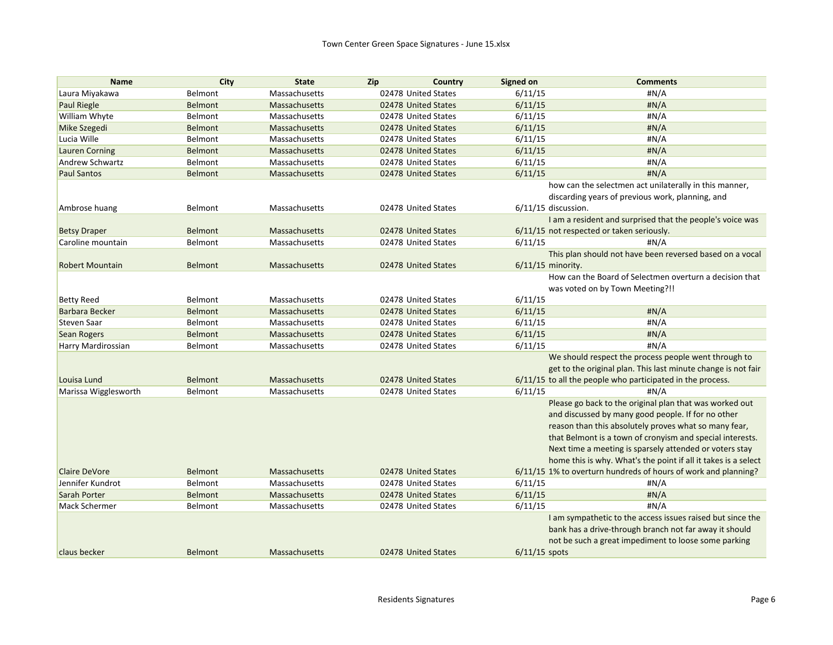| <b>Name</b>            | City           | <b>State</b>         | Zip<br>Country      | Signed on             | <b>Comments</b>                                                |
|------------------------|----------------|----------------------|---------------------|-----------------------|----------------------------------------------------------------|
| Laura Miyakawa         | Belmont        | Massachusetts        | 02478 United States | 6/11/15               | #N/A                                                           |
| <b>Paul Riegle</b>     | <b>Belmont</b> | <b>Massachusetts</b> | 02478 United States | 6/11/15               | #N/A                                                           |
| William Whyte          | Belmont        | Massachusetts        | 02478 United States | 6/11/15               | #N/A                                                           |
| Mike Szegedi           | <b>Belmont</b> | <b>Massachusetts</b> | 02478 United States | 6/11/15               | H N/A                                                          |
| Lucia Wille            | Belmont        | Massachusetts        | 02478 United States | 6/11/15               | #N/A                                                           |
| <b>Lauren Corning</b>  | <b>Belmont</b> | <b>Massachusetts</b> | 02478 United States | 6/11/15               | H N/A                                                          |
| Andrew Schwartz        | Belmont        | Massachusetts        | 02478 United States | 6/11/15               | #N/A                                                           |
| <b>Paul Santos</b>     | Belmont        | Massachusetts        | 02478 United States | 6/11/15               | #N/A                                                           |
|                        |                |                      |                     |                       | how can the selectmen act unilaterally in this manner,         |
|                        |                |                      |                     |                       | discarding years of previous work, planning, and               |
| Ambrose huang          | Belmont        | Massachusetts        | 02478 United States | $6/11/15$ discussion. |                                                                |
|                        |                |                      |                     |                       | I am a resident and surprised that the people's voice was      |
| <b>Betsy Draper</b>    | Belmont        | Massachusetts        | 02478 United States |                       | 6/11/15 not respected or taken seriously.                      |
| Caroline mountain      | Belmont        | Massachusetts        | 02478 United States | 6/11/15               | #N/A                                                           |
|                        |                |                      |                     |                       | This plan should not have been reversed based on a vocal       |
| <b>Robert Mountain</b> | Belmont        | <b>Massachusetts</b> | 02478 United States | $6/11/15$ minority.   |                                                                |
|                        |                |                      |                     |                       | How can the Board of Selectmen overturn a decision that        |
|                        |                |                      |                     |                       | was voted on by Town Meeting?!!                                |
| <b>Betty Reed</b>      | Belmont        | Massachusetts        | 02478 United States | 6/11/15               |                                                                |
| Barbara Becker         | <b>Belmont</b> | <b>Massachusetts</b> | 02478 United States | 6/11/15               | H N/A                                                          |
| <b>Steven Saar</b>     | Belmont        | Massachusetts        | 02478 United States | 6/11/15               | #N/A                                                           |
| Sean Rogers            | <b>Belmont</b> | <b>Massachusetts</b> | 02478 United States | 6/11/15               | #N/A                                                           |
| Harry Mardirossian     | Belmont        | Massachusetts        | 02478 United States | 6/11/15               | #N/A                                                           |
|                        |                |                      |                     |                       | We should respect the process people went through to           |
|                        |                |                      |                     |                       | get to the original plan. This last minute change is not fair  |
| Louisa Lund            | Belmont        | Massachusetts        | 02478 United States |                       | 6/11/15 to all the people who participated in the process.     |
| Marissa Wigglesworth   | Belmont        | Massachusetts        | 02478 United States | 6/11/15               | #N/A                                                           |
|                        |                |                      |                     |                       | Please go back to the original plan that was worked out        |
|                        |                |                      |                     |                       | and discussed by many good people. If for no other             |
|                        |                |                      |                     |                       | reason than this absolutely proves what so many fear,          |
|                        |                |                      |                     |                       | that Belmont is a town of cronyism and special interests.      |
|                        |                |                      |                     |                       | Next time a meeting is sparsely attended or voters stay        |
|                        |                |                      |                     |                       | home this is why. What's the point if all it takes is a select |
| <b>Claire DeVore</b>   | Belmont        | Massachusetts        | 02478 United States |                       | 6/11/15 1% to overturn hundreds of hours of work and planning? |
| Jennifer Kundrot       | Belmont        | Massachusetts        | 02478 United States | 6/11/15               | #N/A                                                           |
| Sarah Porter           | <b>Belmont</b> | Massachusetts        | 02478 United States | 6/11/15               | #N/A                                                           |
| <b>Mack Schermer</b>   | Belmont        | Massachusetts        | 02478 United States | 6/11/15               | #N/A                                                           |
|                        |                |                      |                     |                       | I am sympathetic to the access issues raised but since the     |
|                        |                |                      |                     |                       | bank has a drive-through branch not far away it should         |
|                        |                |                      |                     |                       | not be such a great impediment to loose some parking           |
| claus becker           | Belmont        | <b>Massachusetts</b> | 02478 United States | $6/11/15$ spots       |                                                                |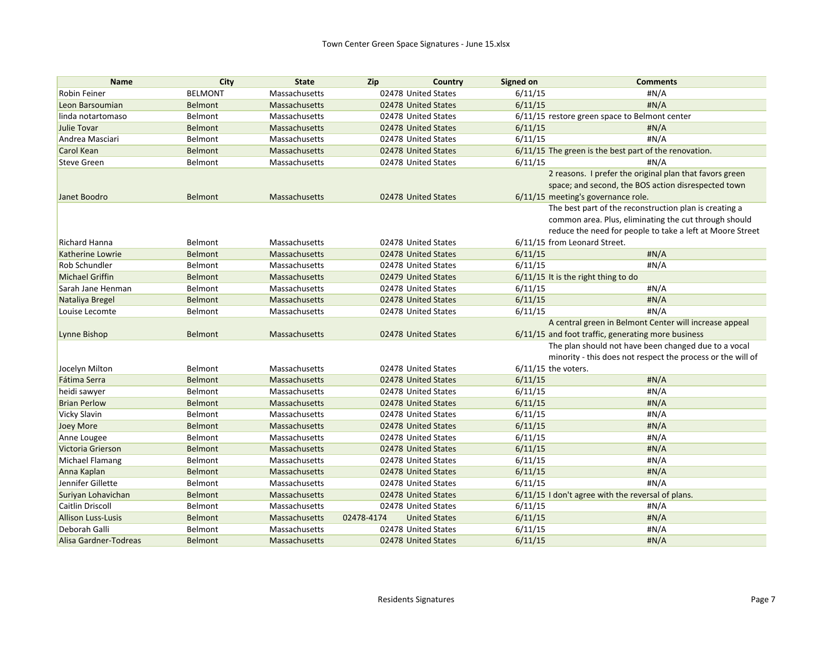| <b>Name</b>               | City           | <b>State</b>         | Zip<br>Country                     | <b>Signed on</b>      | <b>Comments</b>                                             |
|---------------------------|----------------|----------------------|------------------------------------|-----------------------|-------------------------------------------------------------|
| <b>Robin Feiner</b>       | <b>BELMONT</b> | Massachusetts        | 02478 United States                | 6/11/15               | #N/A                                                        |
| Leon Barsoumian           | <b>Belmont</b> | Massachusetts        | 02478 United States                | 6/11/15               | H N/A                                                       |
| linda notartomaso         | Belmont        | Massachusetts        | 02478 United States                |                       | 6/11/15 restore green space to Belmont center               |
| Julie Tovar               | <b>Belmont</b> | Massachusetts        | 02478 United States                | 6/11/15               | H N/A                                                       |
| Andrea Masciari           | Belmont        | Massachusetts        | 02478 United States                | 6/11/15               | #N/A                                                        |
| Carol Kean                | Belmont        | <b>Massachusetts</b> | 02478 United States                |                       | 6/11/15 The green is the best part of the renovation.       |
| <b>Steve Green</b>        | Belmont        | Massachusetts        | 02478 United States                | 6/11/15               | #N/A                                                        |
|                           |                |                      |                                    |                       | 2 reasons. I prefer the original plan that favors green     |
|                           |                |                      |                                    |                       | space; and second, the BOS action disrespected town         |
| Janet Boodro              | Belmont        | Massachusetts        | 02478 United States                |                       | 6/11/15 meeting's governance role.                          |
|                           |                |                      |                                    |                       | The best part of the reconstruction plan is creating a      |
|                           |                |                      |                                    |                       | common area. Plus, eliminating the cut through should       |
|                           |                |                      |                                    |                       | reduce the need for people to take a left at Moore Street   |
| <b>Richard Hanna</b>      | Belmont        | Massachusetts        | 02478 United States                |                       | 6/11/15 from Leonard Street.                                |
| Katherine Lowrie          | <b>Belmont</b> | Massachusetts        | 02478 United States                | 6/11/15               | H N/A                                                       |
| Rob Schundler             | Belmont        | Massachusetts        | 02478 United States                | 6/11/15               | #N/A                                                        |
| <b>Michael Griffin</b>    | <b>Belmont</b> | Massachusetts        | 02479 United States                |                       | $6/11/15$ It is the right thing to do                       |
| Sarah Jane Henman         | Belmont        | Massachusetts        | 02478 United States                | 6/11/15               | #N/A                                                        |
| Nataliya Bregel           | <b>Belmont</b> | Massachusetts        | 02478 United States                | 6/11/15               | H N/A                                                       |
| Louise Lecomte            | Belmont        | Massachusetts        | 02478 United States                | 6/11/15               | #N/A                                                        |
|                           |                |                      |                                    |                       | A central green in Belmont Center will increase appeal      |
| Lynne Bishop              | Belmont        | <b>Massachusetts</b> | 02478 United States                |                       | 6/11/15 and foot traffic, generating more business          |
|                           |                |                      |                                    |                       | The plan should not have been changed due to a vocal        |
|                           |                |                      |                                    |                       | minority - this does not respect the process or the will of |
| Jocelyn Milton            | Belmont        | Massachusetts        | 02478 United States                | $6/11/15$ the voters. |                                                             |
| Fátima Serra              | Belmont        | <b>Massachusetts</b> | 02478 United States                | 6/11/15               | H N/A                                                       |
| heidi sawyer              | Belmont        | Massachusetts        | 02478 United States                | 6/11/15               | #N/A                                                        |
| <b>Brian Perlow</b>       | <b>Belmont</b> | <b>Massachusetts</b> | 02478 United States                | 6/11/15               | H N/A                                                       |
| Vicky Slavin              | Belmont        | Massachusetts        | 02478 United States                | 6/11/15               | #N/A                                                        |
| Joey More                 | Belmont        | Massachusetts        | 02478 United States                | 6/11/15               | #N/A                                                        |
| Anne Lougee               | Belmont        | Massachusetts        | 02478 United States                | 6/11/15               | #N/A                                                        |
| Victoria Grierson         | <b>Belmont</b> | Massachusetts        | 02478 United States                | 6/11/15               | H N/A                                                       |
| Michael Flamang           | Belmont        | Massachusetts        | 02478 United States                | 6/11/15               | #N/A                                                        |
| Anna Kaplan               | Belmont        | <b>Massachusetts</b> | 02478 United States                | 6/11/15               | #N/A                                                        |
| Jennifer Gillette         | Belmont        | Massachusetts        | 02478 United States                | 6/11/15               | #N/A                                                        |
| Suriyan Lohavichan        | Belmont        | Massachusetts        | 02478 United States                |                       | 6/11/15 I don't agree with the reversal of plans.           |
| <b>Caitlin Driscoll</b>   | Belmont        | Massachusetts        | 02478 United States                | 6/11/15               | #N/A                                                        |
| <b>Allison Luss-Lusis</b> | <b>Belmont</b> | Massachusetts        | <b>United States</b><br>02478-4174 | 6/11/15               | H N/A                                                       |
| Deborah Galli             | Belmont        | Massachusetts        | 02478 United States                | 6/11/15               | #N/A                                                        |
| Alisa Gardner-Todreas     | <b>Belmont</b> | Massachusetts        | 02478 United States                | 6/11/15               | #N/A                                                        |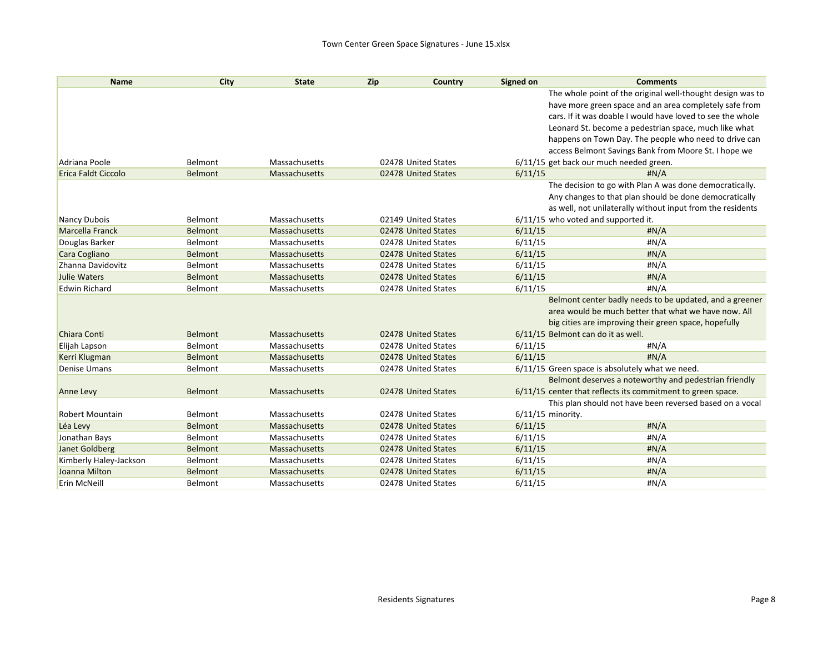| <b>Name</b>                | <b>City</b>    | <b>State</b>         | Zip | Country             | Signed on           | <b>Comments</b>                                             |
|----------------------------|----------------|----------------------|-----|---------------------|---------------------|-------------------------------------------------------------|
|                            |                |                      |     |                     |                     | The whole point of the original well-thought design was to  |
|                            |                |                      |     |                     |                     | have more green space and an area completely safe from      |
|                            |                |                      |     |                     |                     | cars. If it was doable I would have loved to see the whole  |
|                            |                |                      |     |                     |                     | Leonard St. become a pedestrian space, much like what       |
|                            |                |                      |     |                     |                     | happens on Town Day. The people who need to drive can       |
|                            |                |                      |     |                     |                     | access Belmont Savings Bank from Moore St. I hope we        |
| Adriana Poole              | Belmont        | Massachusetts        |     | 02478 United States |                     | 6/11/15 get back our much needed green.                     |
| <b>Erica Faldt Ciccolo</b> | Belmont        | Massachusetts        |     | 02478 United States | 6/11/15             | H N/A                                                       |
|                            |                |                      |     |                     |                     | The decision to go with Plan A was done democratically.     |
|                            |                |                      |     |                     |                     | Any changes to that plan should be done democratically      |
|                            |                |                      |     |                     |                     | as well, not unilaterally without input from the residents  |
| Nancy Dubois               | Belmont        | Massachusetts        |     | 02149 United States |                     | 6/11/15 who voted and supported it.                         |
| <b>Marcella Franck</b>     | <b>Belmont</b> | <b>Massachusetts</b> |     | 02478 United States | 6/11/15             | H N/A                                                       |
| Douglas Barker             | Belmont        | Massachusetts        |     | 02478 United States | 6/11/15             | #N/A                                                        |
| Cara Cogliano              | <b>Belmont</b> | Massachusetts        |     | 02478 United States | 6/11/15             | H N/A                                                       |
| Zhanna Davidovitz          | Belmont        | Massachusetts        |     | 02478 United States | 6/11/15             | #N/A                                                        |
| <b>Julie Waters</b>        | <b>Belmont</b> | Massachusetts        |     | 02478 United States | 6/11/15             | H N/A                                                       |
| <b>Edwin Richard</b>       | Belmont        | Massachusetts        |     | 02478 United States | 6/11/15             | #N/A                                                        |
|                            |                |                      |     |                     |                     | Belmont center badly needs to be updated, and a greener     |
|                            |                |                      |     |                     |                     | area would be much better that what we have now. All        |
|                            |                |                      |     |                     |                     | big cities are improving their green space, hopefully       |
| Chiara Conti               | <b>Belmont</b> | Massachusetts        |     | 02478 United States |                     | 6/11/15 Belmont can do it as well.                          |
| Elijah Lapson              | Belmont        | Massachusetts        |     | 02478 United States | 6/11/15             | #N/A                                                        |
| Kerri Klugman              | <b>Belmont</b> | <b>Massachusetts</b> |     | 02478 United States | 6/11/15             | H N/A                                                       |
| <b>Denise Umans</b>        | Belmont        | Massachusetts        |     | 02478 United States |                     | 6/11/15 Green space is absolutely what we need.             |
|                            |                |                      |     |                     |                     | Belmont deserves a noteworthy and pedestrian friendly       |
| <b>Anne Levy</b>           | Belmont        | <b>Massachusetts</b> |     | 02478 United States |                     | 6/11/15 center that reflects its commitment to green space. |
|                            |                |                      |     |                     |                     | This plan should not have been reversed based on a vocal    |
| <b>Robert Mountain</b>     | Belmont        | Massachusetts        |     | 02478 United States | $6/11/15$ minority. |                                                             |
| Léa Levy                   | <b>Belmont</b> | Massachusetts        |     | 02478 United States | 6/11/15             | H N/A                                                       |
| Jonathan Bays              | Belmont        | Massachusetts        |     | 02478 United States | 6/11/15             | #N/A                                                        |
| Janet Goldberg             | <b>Belmont</b> | Massachusetts        |     | 02478 United States | 6/11/15             | H N/A                                                       |
| Kimberly Haley-Jackson     | Belmont        | Massachusetts        |     | 02478 United States | 6/11/15             | #N/A                                                        |
| Joanna Milton              | <b>Belmont</b> | <b>Massachusetts</b> |     | 02478 United States | 6/11/15             | H N/A                                                       |
| Erin McNeill               | Belmont        | Massachusetts        |     | 02478 United States | 6/11/15             | #N/A                                                        |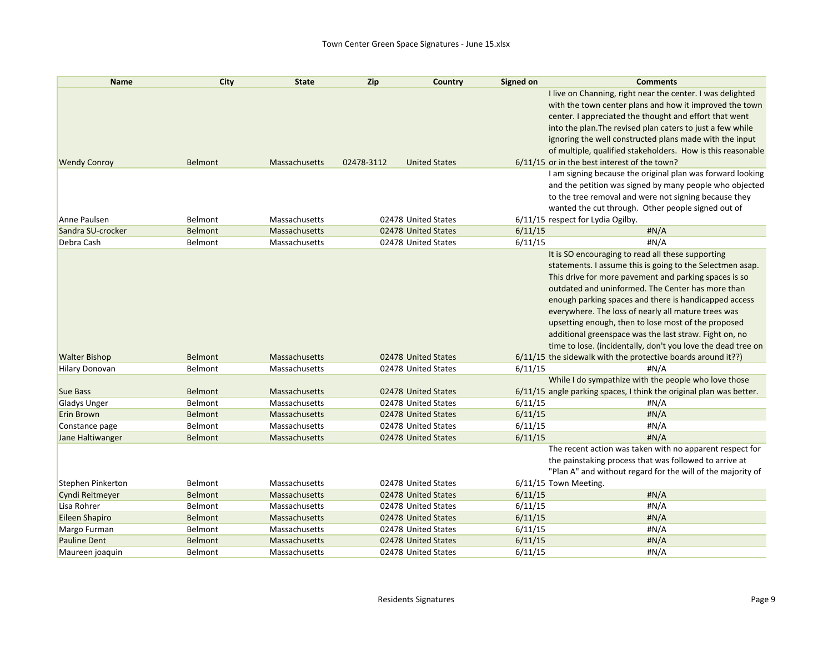| <b>Name</b>           | City           | <b>State</b>         | <b>Zip</b> | Country              | Signed on | <b>Comments</b>                                                     |
|-----------------------|----------------|----------------------|------------|----------------------|-----------|---------------------------------------------------------------------|
|                       |                |                      |            |                      |           | I live on Channing, right near the center. I was delighted          |
|                       |                |                      |            |                      |           | with the town center plans and how it improved the town             |
|                       |                |                      |            |                      |           | center. I appreciated the thought and effort that went              |
|                       |                |                      |            |                      |           | into the plan. The revised plan caters to just a few while          |
|                       |                |                      |            |                      |           | ignoring the well constructed plans made with the input             |
|                       |                |                      |            |                      |           | of multiple, qualified stakeholders. How is this reasonable         |
| <b>Wendy Conroy</b>   | <b>Belmont</b> | <b>Massachusetts</b> | 02478-3112 | <b>United States</b> |           | 6/11/15 or in the best interest of the town?                        |
|                       |                |                      |            |                      |           | I am signing because the original plan was forward looking          |
|                       |                |                      |            |                      |           | and the petition was signed by many people who objected             |
|                       |                |                      |            |                      |           | to the tree removal and were not signing because they               |
|                       |                |                      |            |                      |           | wanted the cut through. Other people signed out of                  |
| Anne Paulsen          | Belmont        | Massachusetts        |            | 02478 United States  |           | 6/11/15 respect for Lydia Ogilby.                                   |
| Sandra SU-crocker     | <b>Belmont</b> | Massachusetts        |            | 02478 United States  | 6/11/15   | $\sharp N/A$                                                        |
| Debra Cash            | Belmont        | Massachusetts        |            | 02478 United States  | 6/11/15   | H N/A                                                               |
|                       |                |                      |            |                      |           | It is SO encouraging to read all these supporting                   |
|                       |                |                      |            |                      |           | statements. I assume this is going to the Selectmen asap.           |
|                       |                |                      |            |                      |           | This drive for more pavement and parking spaces is so               |
|                       |                |                      |            |                      |           | outdated and uninformed. The Center has more than                   |
|                       |                |                      |            |                      |           | enough parking spaces and there is handicapped access               |
|                       |                |                      |            |                      |           | everywhere. The loss of nearly all mature trees was                 |
|                       |                |                      |            |                      |           | upsetting enough, then to lose most of the proposed                 |
|                       |                |                      |            |                      |           | additional greenspace was the last straw. Fight on, no              |
|                       |                |                      |            |                      |           | time to lose. (incidentally, don't you love the dead tree on        |
| <b>Walter Bishop</b>  | <b>Belmont</b> | Massachusetts        |            | 02478 United States  |           | 6/11/15 the sidewalk with the protective boards around it??)        |
| <b>Hilary Donovan</b> | Belmont        | Massachusetts        |            | 02478 United States  | 6/11/15   | #N/A                                                                |
|                       |                |                      |            |                      |           | While I do sympathize with the people who love those                |
| <b>Sue Bass</b>       | <b>Belmont</b> | <b>Massachusetts</b> |            | 02478 United States  |           | 6/11/15 angle parking spaces, I think the original plan was better. |
| Gladys Unger          | Belmont        | Massachusetts        |            | 02478 United States  | 6/11/15   | #N/A                                                                |
| Erin Brown            | Belmont        | Massachusetts        |            | 02478 United States  | 6/11/15   | H N/A                                                               |
| Constance page        | Belmont        | Massachusetts        |            | 02478 United States  | 6/11/15   | #N/A                                                                |
| Jane Haltiwanger      | <b>Belmont</b> | Massachusetts        |            | 02478 United States  | 6/11/15   | H N/A                                                               |
|                       |                |                      |            |                      |           | The recent action was taken with no apparent respect for            |
|                       |                |                      |            |                      |           | the painstaking process that was followed to arrive at              |
|                       |                |                      |            |                      |           | "Plan A" and without regard for the will of the majority of         |
| Stephen Pinkerton     | Belmont        | Massachusetts        |            | 02478 United States  |           | 6/11/15 Town Meeting.                                               |
| Cyndi Reitmeyer       | <b>Belmont</b> | Massachusetts        |            | 02478 United States  | 6/11/15   | H N/A                                                               |
| Lisa Rohrer           | Belmont        | Massachusetts        |            | 02478 United States  | 6/11/15   | H N/A                                                               |
| Eileen Shapiro        | <b>Belmont</b> | Massachusetts        |            | 02478 United States  | 6/11/15   | #N/A                                                                |
| Margo Furman          | Belmont        | Massachusetts        |            | 02478 United States  | 6/11/15   | #N/A                                                                |
| <b>Pauline Dent</b>   | <b>Belmont</b> | Massachusetts        |            | 02478 United States  | 6/11/15   | #N/A                                                                |
| Maureen joaquin       | Belmont        | Massachusetts        |            | 02478 United States  | 6/11/15   | #N/A                                                                |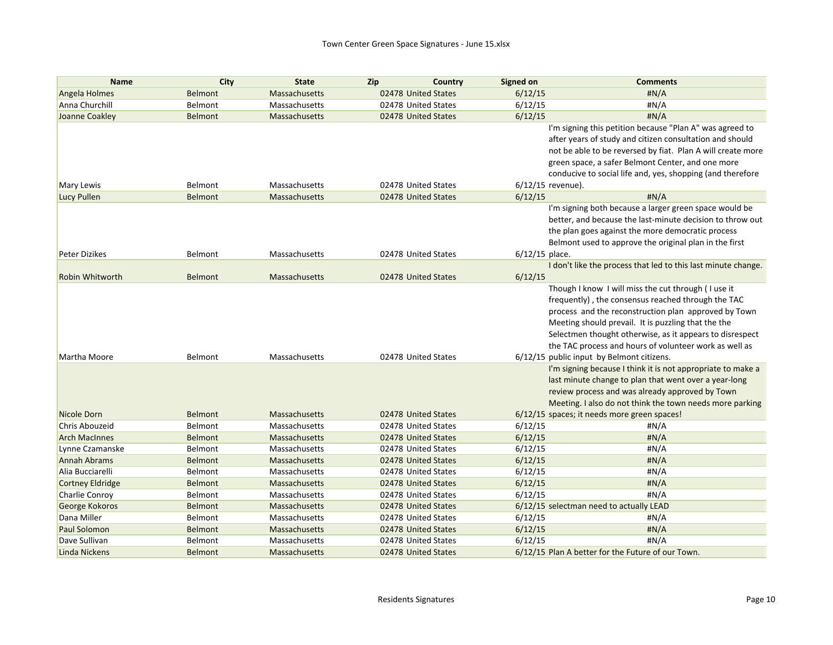| <b>Name</b>             | City           | <b>State</b>         | Zip<br>Country      | Signed on         | <b>Comments</b>                                               |
|-------------------------|----------------|----------------------|---------------------|-------------------|---------------------------------------------------------------|
| Angela Holmes           | <b>Belmont</b> | <b>Massachusetts</b> | 02478 United States | 6/12/15           | H N/A                                                         |
| Anna Churchill          | Belmont        | Massachusetts        | 02478 United States | 6/12/15           | #N/A                                                          |
| Joanne Coakley          | Belmont        | Massachusetts        | 02478 United States | 6/12/15           | H N/A                                                         |
|                         |                |                      |                     |                   | I'm signing this petition because "Plan A" was agreed to      |
|                         |                |                      |                     |                   | after years of study and citizen consultation and should      |
|                         |                |                      |                     |                   | not be able to be reversed by fiat. Plan A will create more   |
|                         |                |                      |                     |                   | green space, a safer Belmont Center, and one more             |
|                         |                |                      |                     |                   | conducive to social life and, yes, shopping (and therefore    |
| Mary Lewis              | Belmont        | Massachusetts        | 02478 United States | 6/12/15 revenue). |                                                               |
| <b>Lucy Pullen</b>      | <b>Belmont</b> | Massachusetts        | 02478 United States | 6/12/15           | H N/A                                                         |
|                         |                |                      |                     |                   | I'm signing both because a larger green space would be        |
|                         |                |                      |                     |                   | better, and because the last-minute decision to throw out     |
|                         |                |                      |                     |                   | the plan goes against the more democratic process             |
|                         |                |                      |                     |                   | Belmont used to approve the original plan in the first        |
| <b>Peter Dizikes</b>    | Belmont        | Massachusetts        | 02478 United States | $6/12/15$ place.  |                                                               |
|                         |                |                      |                     |                   | I don't like the process that led to this last minute change. |
| <b>Robin Whitworth</b>  | <b>Belmont</b> | Massachusetts        | 02478 United States | 6/12/15           |                                                               |
|                         |                |                      |                     |                   | Though I know I will miss the cut through (I use it           |
|                         |                |                      |                     |                   | frequently), the consensus reached through the TAC            |
|                         |                |                      |                     |                   | process and the reconstruction plan approved by Town          |
|                         |                |                      |                     |                   | Meeting should prevail. It is puzzling that the the           |
|                         |                |                      |                     |                   | Selectmen thought otherwise, as it appears to disrespect      |
|                         |                |                      |                     |                   | the TAC process and hours of volunteer work as well as        |
| Martha Moore            | Belmont        | Massachusetts        | 02478 United States |                   | 6/12/15 public input by Belmont citizens.                     |
|                         |                |                      |                     |                   | I'm signing because I think it is not appropriate to make a   |
|                         |                |                      |                     |                   | last minute change to plan that went over a year-long         |
|                         |                |                      |                     |                   | review process and was already approved by Town               |
|                         |                |                      |                     |                   | Meeting. I also do not think the town needs more parking      |
| Nicole Dorn             | <b>Belmont</b> | Massachusetts        | 02478 United States |                   | 6/12/15 spaces; it needs more green spaces!                   |
| Chris Abouzeid          | Belmont        | Massachusetts        | 02478 United States | 6/12/15           | #N/A                                                          |
| <b>Arch MacInnes</b>    | Belmont        | <b>Massachusetts</b> | 02478 United States | 6/12/15           | H N/A                                                         |
| Lynne Czamanske         | Belmont        | Massachusetts        | 02478 United States | 6/12/15           | #N/A                                                          |
| <b>Annah Abrams</b>     | Belmont        | Massachusetts        | 02478 United States | 6/12/15           | H N/A                                                         |
| Alia Bucciarelli        | Belmont        | Massachusetts        | 02478 United States | 6/12/15           | #N/A                                                          |
| <b>Cortney Eldridge</b> | Belmont        | <b>Massachusetts</b> | 02478 United States | 6/12/15           | H N/A                                                         |
| Charlie Conroy          | Belmont        | Massachusetts        | 02478 United States | 6/12/15           | #N/A                                                          |
| George Kokoros          | Belmont        | <b>Massachusetts</b> | 02478 United States |                   | 6/12/15 selectman need to actually LEAD                       |
| Dana Miller             | Belmont        | Massachusetts        | 02478 United States | 6/12/15           | #N/A                                                          |
| Paul Solomon            | Belmont        | <b>Massachusetts</b> | 02478 United States | 6/12/15           | H N/A                                                         |
| Dave Sullivan           | Belmont        | Massachusetts        | 02478 United States | 6/12/15           | #N/A                                                          |
| Linda Nickens           | Belmont        | Massachusetts        | 02478 United States |                   | 6/12/15 Plan A better for the Future of our Town.             |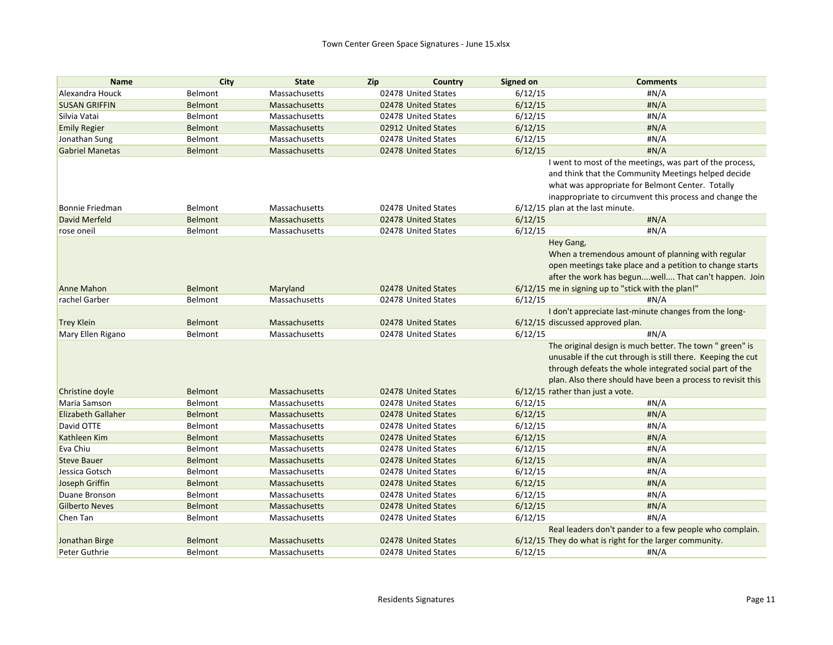| <b>Name</b>               | City           | <b>State</b>         | Zip<br>Country      | Signed on                        | <b>Comments</b>                                                                                                                                                                                                                                   |
|---------------------------|----------------|----------------------|---------------------|----------------------------------|---------------------------------------------------------------------------------------------------------------------------------------------------------------------------------------------------------------------------------------------------|
| Alexandra Houck           | Belmont        | Massachusetts        | 02478 United States | 6/12/15                          | #N/A                                                                                                                                                                                                                                              |
| <b>SUSAN GRIFFIN</b>      | <b>Belmont</b> | <b>Massachusetts</b> | 02478 United States | 6/12/15                          | H N/A                                                                                                                                                                                                                                             |
| Silvia Vatai              | Belmont        | Massachusetts        | 02478 United States | 6/12/15                          | #N/A                                                                                                                                                                                                                                              |
| <b>Emily Regier</b>       | <b>Belmont</b> | <b>Massachusetts</b> | 02912 United States | 6/12/15                          | H N/A                                                                                                                                                                                                                                             |
| Jonathan Sung             | Belmont        | Massachusetts        | 02478 United States | 6/12/15                          | #N/A                                                                                                                                                                                                                                              |
| <b>Gabriel Manetas</b>    | <b>Belmont</b> | <b>Massachusetts</b> | 02478 United States | 6/12/15                          | #N/A                                                                                                                                                                                                                                              |
|                           |                |                      |                     |                                  | I went to most of the meetings, was part of the process,<br>and think that the Community Meetings helped decide<br>what was appropriate for Belmont Center. Totally<br>inappropriate to circumvent this process and change the                    |
| <b>Bonnie Friedman</b>    | Belmont        | Massachusetts        | 02478 United States | 6/12/15 plan at the last minute. |                                                                                                                                                                                                                                                   |
| David Merfeld             | Belmont        | Massachusetts        | 02478 United States | 6/12/15                          | H N/A                                                                                                                                                                                                                                             |
| rose oneil                | Belmont        | Massachusetts        | 02478 United States | 6/12/15                          | #N/A                                                                                                                                                                                                                                              |
|                           |                |                      |                     | Hey Gang,                        | When a tremendous amount of planning with regular<br>open meetings take place and a petition to change starts<br>after the work has begunwell That can't happen. Join                                                                             |
| Anne Mahon                | <b>Belmont</b> | Maryland             | 02478 United States |                                  | 6/12/15 me in signing up to "stick with the plan!"                                                                                                                                                                                                |
| rachel Garber             | Belmont        | Massachusetts        | 02478 United States | 6/12/15                          | #N/A                                                                                                                                                                                                                                              |
|                           |                |                      |                     |                                  | I don't appreciate last-minute changes from the long-                                                                                                                                                                                             |
| <b>Trey Klein</b>         | Belmont        | Massachusetts        | 02478 United States |                                  | 6/12/15 discussed approved plan.                                                                                                                                                                                                                  |
| Mary Ellen Rigano         | Belmont        | Massachusetts        | 02478 United States | 6/12/15                          | #N/A                                                                                                                                                                                                                                              |
|                           |                |                      |                     |                                  | The original design is much better. The town " green" is<br>unusable if the cut through is still there. Keeping the cut<br>through defeats the whole integrated social part of the<br>plan. Also there should have been a process to revisit this |
| Christine doyle           | <b>Belmont</b> | <b>Massachusetts</b> | 02478 United States | 6/12/15 rather than just a vote. |                                                                                                                                                                                                                                                   |
| Maria Samson              | Belmont        | Massachusetts        | 02478 United States | 6/12/15                          | #N/A                                                                                                                                                                                                                                              |
| <b>Elizabeth Gallaher</b> | <b>Belmont</b> | Massachusetts        | 02478 United States | 6/12/15                          | #N/A                                                                                                                                                                                                                                              |
| David OTTE                | Belmont        | Massachusetts        | 02478 United States | 6/12/15                          | #N/A                                                                                                                                                                                                                                              |
| Kathleen Kim              | Belmont        | Massachusetts        | 02478 United States | 6/12/15                          | H N/A                                                                                                                                                                                                                                             |
| Eva Chiu                  | Belmont        | Massachusetts        | 02478 United States | 6/12/15                          | #N/A                                                                                                                                                                                                                                              |
| <b>Steve Bauer</b>        | <b>Belmont</b> | Massachusetts        | 02478 United States | 6/12/15                          | #N/A                                                                                                                                                                                                                                              |
| Jessica Gotsch            | Belmont        | Massachusetts        | 02478 United States | 6/12/15                          | #N/A                                                                                                                                                                                                                                              |
| Joseph Griffin            | Belmont        | Massachusetts        | 02478 United States | 6/12/15                          | H N/A                                                                                                                                                                                                                                             |
| Duane Bronson             | Belmont        | Massachusetts        | 02478 United States | 6/12/15                          | #N/A                                                                                                                                                                                                                                              |
| <b>Gilberto Neves</b>     | <b>Belmont</b> | <b>Massachusetts</b> | 02478 United States | 6/12/15                          | #N/A                                                                                                                                                                                                                                              |
| Chen Tan                  | Belmont        | Massachusetts        | 02478 United States | 6/12/15                          | #N/A                                                                                                                                                                                                                                              |
|                           |                |                      |                     |                                  | Real leaders don't pander to a few people who complain.                                                                                                                                                                                           |
| Jonathan Birge            | <b>Belmont</b> | Massachusetts        | 02478 United States |                                  | 6/12/15 They do what is right for the larger community.                                                                                                                                                                                           |
| Peter Guthrie             | <b>Belmont</b> | Massachusetts        | 02478 United States | 6/12/15                          | #N/A                                                                                                                                                                                                                                              |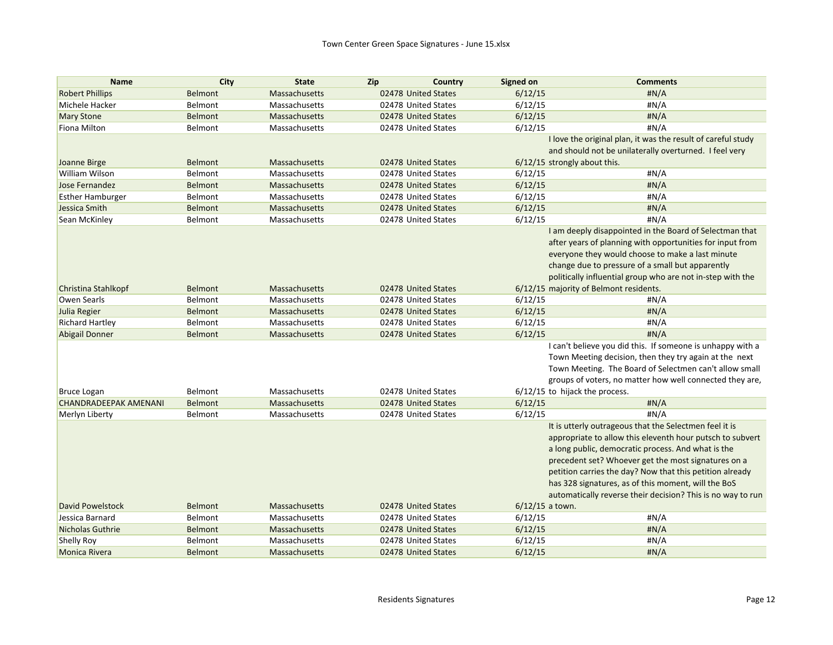| <b>Name</b>                  | City           | <b>State</b>  | Zip<br>Country      | <b>Signed on</b>             | <b>Comments</b>                                              |
|------------------------------|----------------|---------------|---------------------|------------------------------|--------------------------------------------------------------|
| <b>Robert Phillips</b>       | <b>Belmont</b> | Massachusetts | 02478 United States | 6/12/15                      | H N/A                                                        |
| Michele Hacker               | Belmont        | Massachusetts | 02478 United States | 6/12/15                      | H N/A                                                        |
| <b>Mary Stone</b>            | <b>Belmont</b> | Massachusetts | 02478 United States | 6/12/15                      | #N/A                                                         |
| Fiona Milton                 | Belmont        | Massachusetts | 02478 United States | 6/12/15                      | H N/A                                                        |
|                              |                |               |                     |                              | I love the original plan, it was the result of careful study |
|                              |                |               |                     |                              | and should not be unilaterally overturned. I feel very       |
| Joanne Birge                 | <b>Belmont</b> | Massachusetts | 02478 United States | 6/12/15 strongly about this. |                                                              |
| William Wilson               | Belmont        | Massachusetts | 02478 United States | 6/12/15                      | #N/A                                                         |
| Jose Fernandez               | <b>Belmont</b> | Massachusetts | 02478 United States | 6/12/15                      | #N/A                                                         |
| <b>Esther Hamburger</b>      | Belmont        | Massachusetts | 02478 United States | 6/12/15                      | #N/A                                                         |
| Jessica Smith                | <b>Belmont</b> | Massachusetts | 02478 United States | 6/12/15                      | H N/A                                                        |
| Sean McKinley                | Belmont        | Massachusetts | 02478 United States | 6/12/15                      | #N/A                                                         |
|                              |                |               |                     |                              | I am deeply disappointed in the Board of Selectman that      |
|                              |                |               |                     |                              | after years of planning with opportunities for input from    |
|                              |                |               |                     |                              | everyone they would choose to make a last minute             |
|                              |                |               |                     |                              | change due to pressure of a small but apparently             |
|                              |                |               |                     |                              | politically influential group who are not in-step with the   |
| Christina Stahlkopf          | <b>Belmont</b> | Massachusetts | 02478 United States |                              | 6/12/15 majority of Belmont residents.                       |
| <b>Owen Searls</b>           | Belmont        | Massachusetts | 02478 United States | 6/12/15                      | #N/A                                                         |
| Julia Regier                 | <b>Belmont</b> | Massachusetts | 02478 United States | 6/12/15                      | #N/A                                                         |
| <b>Richard Hartley</b>       | Belmont        | Massachusetts | 02478 United States | 6/12/15                      | #N/A                                                         |
| <b>Abigail Donner</b>        | <b>Belmont</b> | Massachusetts | 02478 United States | 6/12/15                      | H N/A                                                        |
|                              |                |               |                     |                              | I can't believe you did this. If someone is unhappy with a   |
|                              |                |               |                     |                              | Town Meeting decision, then they try again at the next       |
|                              |                |               |                     |                              | Town Meeting. The Board of Selectmen can't allow small       |
|                              |                |               |                     |                              | groups of voters, no matter how well connected they are,     |
| <b>Bruce Logan</b>           | Belmont        | Massachusetts | 02478 United States |                              | 6/12/15 to hijack the process.                               |
| <b>CHANDRADEEPAK AMENANI</b> | <b>Belmont</b> | Massachusetts | 02478 United States | 6/12/15                      | H N/A                                                        |
| Merlyn Liberty               | Belmont        | Massachusetts | 02478 United States | 6/12/15                      | #N/A                                                         |
|                              |                |               |                     |                              | It is utterly outrageous that the Selectmen feel it is       |
|                              |                |               |                     |                              | appropriate to allow this eleventh hour putsch to subvert    |
|                              |                |               |                     |                              | a long public, democratic process. And what is the           |
|                              |                |               |                     |                              | precedent set? Whoever get the most signatures on a          |
|                              |                |               |                     |                              | petition carries the day? Now that this petition already     |
|                              |                |               |                     |                              | has 328 signatures, as of this moment, will the BoS          |
|                              |                |               |                     |                              | automatically reverse their decision? This is no way to run  |
| <b>David Powelstock</b>      | <b>Belmont</b> | Massachusetts | 02478 United States | $6/12/15$ a town.            |                                                              |
| Jessica Barnard              | Belmont        | Massachusetts | 02478 United States | 6/12/15                      | H N/A                                                        |
| Nicholas Guthrie             | <b>Belmont</b> | Massachusetts | 02478 United States | 6/12/15                      | H N/A                                                        |
| <b>Shelly Roy</b>            | Belmont        | Massachusetts | 02478 United States | 6/12/15                      | #N/A                                                         |
| <b>Monica Rivera</b>         | <b>Belmont</b> | Massachusetts | 02478 United States | 6/12/15                      | H N/A                                                        |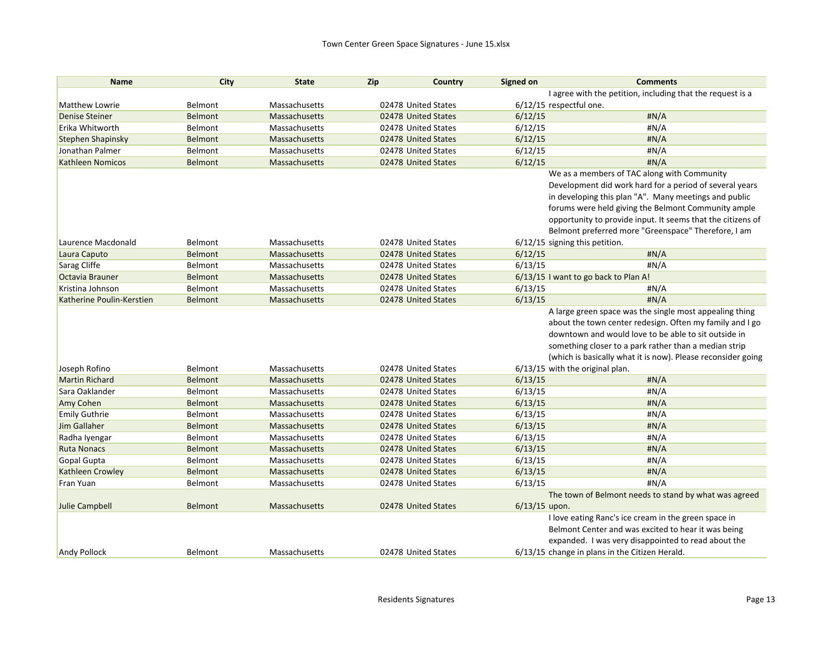| <b>Name</b>               | City           | <b>State</b>         | Zip                 | Country             | Signed on               | <b>Comments</b>                                              |
|---------------------------|----------------|----------------------|---------------------|---------------------|-------------------------|--------------------------------------------------------------|
|                           |                |                      |                     |                     |                         | I agree with the petition, including that the request is a   |
| Matthew Lowrie            | Belmont        | Massachusetts        | 02478 United States |                     | 6/12/15 respectful one. |                                                              |
| <b>Denise Steiner</b>     | <b>Belmont</b> | Massachusetts        |                     | 02478 United States | 6/12/15                 | #N/A                                                         |
| Erika Whitworth           | Belmont        | Massachusetts        |                     | 02478 United States | 6/12/15                 | #N/A                                                         |
| <b>Stephen Shapinsky</b>  | <b>Belmont</b> | Massachusetts        |                     | 02478 United States | 6/12/15                 | #N/A                                                         |
| Jonathan Palmer           | Belmont        | Massachusetts        | 02478 United States |                     | 6/12/15                 | H N/A                                                        |
| <b>Kathleen Nomicos</b>   | <b>Belmont</b> | Massachusetts        |                     | 02478 United States | 6/12/15                 | #N/A                                                         |
|                           |                |                      |                     |                     |                         | We as a members of TAC along with Community                  |
|                           |                |                      |                     |                     |                         | Development did work hard for a period of several years      |
|                           |                |                      |                     |                     |                         | in developing this plan "A". Many meetings and public        |
|                           |                |                      |                     |                     |                         | forums were held giving the Belmont Community ample          |
|                           |                |                      |                     |                     |                         | opportunity to provide input. It seems that the citizens of  |
|                           |                |                      |                     |                     |                         | Belmont preferred more "Greenspace" Therefore, I am          |
| Laurence Macdonald        | Belmont        | Massachusetts        | 02478 United States |                     |                         | $6/12/15$ signing this petition.                             |
| Laura Caputo              | <b>Belmont</b> | <b>Massachusetts</b> | 02478 United States |                     | 6/12/15                 | #N/A                                                         |
| Sarag Cliffe              | Belmont        | Massachusetts        |                     | 02478 United States | 6/13/15                 | #N/A                                                         |
| Octavia Brauner           | <b>Belmont</b> | Massachusetts        |                     | 02478 United States |                         | 6/13/15 I want to go back to Plan A!                         |
| Kristina Johnson          | Belmont        | Massachusetts        |                     | 02478 United States | 6/13/15                 | #N/A                                                         |
| Katherine Poulin-Kerstien | Belmont        | Massachusetts        | 02478 United States |                     | 6/13/15                 | #N/A                                                         |
|                           |                |                      |                     |                     |                         | A large green space was the single most appealing thing      |
|                           |                |                      |                     |                     |                         | about the town center redesign. Often my family and I go     |
|                           |                |                      |                     |                     |                         | downtown and would love to be able to sit outside in         |
|                           |                |                      |                     |                     |                         | something closer to a park rather than a median strip        |
|                           |                |                      |                     |                     |                         | (which is basically what it is now). Please reconsider going |
| Joseph Rofino             | Belmont        | Massachusetts        | 02478 United States |                     |                         | 6/13/15 with the original plan.                              |
| <b>Martin Richard</b>     | Belmont        | <b>Massachusetts</b> |                     | 02478 United States | 6/13/15                 | H N/A                                                        |
| Sara Oaklander            | Belmont        | Massachusetts        |                     | 02478 United States | 6/13/15                 | #N/A                                                         |
| Amy Cohen                 | <b>Belmont</b> | Massachusetts        |                     | 02478 United States | 6/13/15                 | #N/A                                                         |
| <b>Emily Guthrie</b>      | Belmont        | Massachusetts        |                     | 02478 United States | 6/13/15                 | #N/A                                                         |
| <b>Jim Gallaher</b>       | <b>Belmont</b> | Massachusetts        |                     | 02478 United States | 6/13/15                 | #N/A                                                         |
| Radha Iyengar             | Belmont        | Massachusetts        | 02478 United States |                     | 6/13/15                 | #N/A                                                         |
| <b>Ruta Nonacs</b>        | <b>Belmont</b> | Massachusetts        |                     | 02478 United States | 6/13/15                 | #N/A                                                         |
| Gopal Gupta               | Belmont        | Massachusetts        |                     | 02478 United States | 6/13/15                 | H N/A                                                        |
| Kathleen Crowley          | <b>Belmont</b> | Massachusetts        |                     | 02478 United States | 6/13/15                 | #N/A                                                         |
| Fran Yuan                 | Belmont        | Massachusetts        | 02478 United States |                     | 6/13/15                 | #N/A                                                         |
|                           |                |                      |                     |                     |                         | The town of Belmont needs to stand by what was agreed        |
| Julie Campbell            | <b>Belmont</b> | Massachusetts        | 02478 United States |                     | $6/13/15$ upon.         |                                                              |
|                           |                |                      |                     |                     |                         | I love eating Ranc's ice cream in the green space in         |
|                           |                |                      |                     |                     |                         | Belmont Center and was excited to hear it was being          |
|                           |                |                      |                     |                     |                         | expanded. I was very disappointed to read about the          |
| <b>Andy Pollock</b>       | Belmont        | Massachusetts        | 02478 United States |                     |                         | 6/13/15 change in plans in the Citizen Herald.               |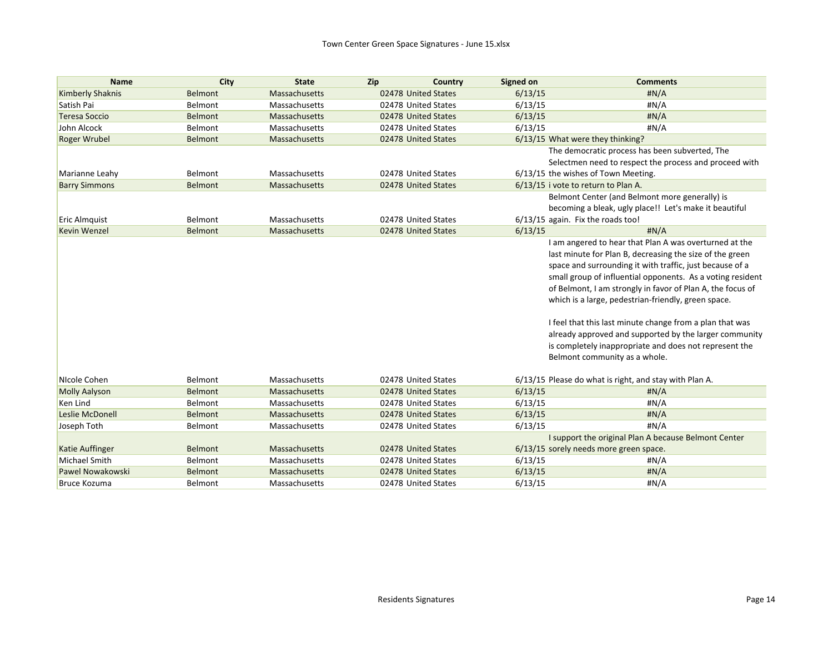| <b>Name</b>             | City    | <b>State</b>         | Zip<br>Country      | Signed on | <b>Comments</b>                                            |
|-------------------------|---------|----------------------|---------------------|-----------|------------------------------------------------------------|
| <b>Kimberly Shaknis</b> | Belmont | Massachusetts        | 02478 United States | 6/13/15   | H N/A                                                      |
| Satish Pai              | Belmont | Massachusetts        | 02478 United States | 6/13/15   | #N/A                                                       |
| <b>Teresa Soccio</b>    | Belmont | Massachusetts        | 02478 United States | 6/13/15   | #N/A                                                       |
| John Alcock             | Belmont | Massachusetts        | 02478 United States | 6/13/15   | #N/A                                                       |
| <b>Roger Wrubel</b>     | Belmont | Massachusetts        | 02478 United States |           | 6/13/15 What were they thinking?                           |
|                         |         |                      |                     |           | The democratic process has been subverted, The             |
|                         |         |                      |                     |           | Selectmen need to respect the process and proceed with     |
| Marianne Leahy          | Belmont | Massachusetts        | 02478 United States |           | 6/13/15 the wishes of Town Meeting.                        |
| <b>Barry Simmons</b>    | Belmont | Massachusetts        | 02478 United States |           | 6/13/15 i vote to return to Plan A.                        |
|                         |         |                      |                     |           | Belmont Center (and Belmont more generally) is             |
|                         |         |                      |                     |           | becoming a bleak, ugly place!! Let's make it beautiful     |
| <b>Eric Almquist</b>    | Belmont | Massachusetts        | 02478 United States |           | 6/13/15 again. Fix the roads too!                          |
| <b>Kevin Wenzel</b>     | Belmont | Massachusetts        | 02478 United States | 6/13/15   | H N/A                                                      |
|                         |         |                      |                     |           | I am angered to hear that Plan A was overturned at the     |
|                         |         |                      |                     |           | last minute for Plan B, decreasing the size of the green   |
|                         |         |                      |                     |           | space and surrounding it with traffic, just because of a   |
|                         |         |                      |                     |           | small group of influential opponents. As a voting resident |
|                         |         |                      |                     |           | of Belmont, I am strongly in favor of Plan A, the focus of |
|                         |         |                      |                     |           | which is a large, pedestrian-friendly, green space.        |
|                         |         |                      |                     |           | I feel that this last minute change from a plan that was   |
|                         |         |                      |                     |           | already approved and supported by the larger community     |
|                         |         |                      |                     |           | is completely inappropriate and does not represent the     |
|                         |         |                      |                     |           | Belmont community as a whole.                              |
|                         |         |                      |                     |           |                                                            |
| NIcole Cohen            | Belmont | Massachusetts        | 02478 United States |           | 6/13/15 Please do what is right, and stay with Plan A.     |
| <b>Molly Aalyson</b>    | Belmont | Massachusetts        | 02478 United States | 6/13/15   | #N/A                                                       |
| Ken Lind                | Belmont | Massachusetts        | 02478 United States | 6/13/15   | #N/A                                                       |
| <b>Leslie McDonell</b>  | Belmont | Massachusetts        | 02478 United States | 6/13/15   | #N/A                                                       |
| Joseph Toth             | Belmont | Massachusetts        | 02478 United States | 6/13/15   | #N/A                                                       |
|                         |         |                      |                     |           | I support the original Plan A because Belmont Center       |
| <b>Katie Auffinger</b>  | Belmont | <b>Massachusetts</b> | 02478 United States |           | 6/13/15 sorely needs more green space.                     |
| <b>Michael Smith</b>    | Belmont | Massachusetts        | 02478 United States | 6/13/15   | #N/A                                                       |
| Pawel Nowakowski        | Belmont | Massachusetts        | 02478 United States | 6/13/15   | H N/A                                                      |
| <b>Bruce Kozuma</b>     | Belmont | Massachusetts        | 02478 United States | 6/13/15   | H N/A                                                      |